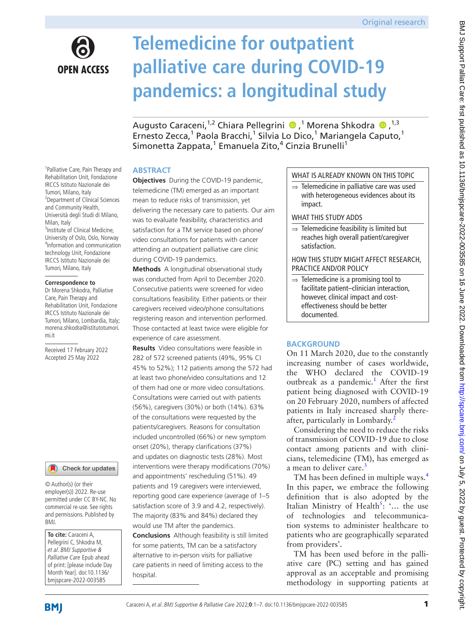

# **Telemedicine for outpatient palliative care during COVID-19 pandemics: a longitudinal study**

AugustoCaraceni,<sup>1,2</sup> Chiara Pellegrini (D,<sup>1</sup> Morena Shkodra (D,<sup>1,3</sup> Ernesto Zecca,<sup>1</sup> Paola Bracchi,<sup>1</sup> Silvia Lo Dico,<sup>1</sup> Mariangela Caputo,<sup>1</sup> Simonetta Zappata,<sup>1</sup> Emanuela Zito,<sup>4</sup> Cinzia Brunelli<sup>1</sup>

#### <sup>1</sup>Palliative Care, Pain Therapy and Rehabilitation Unit, Fondazione IRCCS Istituto Nazionale dei Tumori, Milano, Italy <sup>2</sup> Department of Clinical Sciences and Community Health, Università degli Studi di Milano, Milan, Italy <sup>3</sup>Institute of Clinical Medicine, University of Oslo, Oslo, Norway 4 Information and communication technology Unit, Fondazione IRCCS Istituto Nazionale dei Tumori, Milano, Italy

#### **Correspondence to**

Dr Morena Shkodra, Palliative Care, Pain Therapy and Rehabilitation Unit, Fondazione IRCCS Istituto Nazionale dei Tumori, Milano, Lombardia, Italy; morena.shkodra@istitutotumori. mi.it

Received 17 February 2022 Accepted 25 May 2022

#### Check for updates

© Author(s) (or their employer(s)) 2022. Re-use permitted under CC BY-NC. No commercial re-use. See rights and permissions. Published by BMJ.

**To cite:** Caraceni A, Pellegrini C, Shkodra M, et al. BMJ Supportive & Palliative Care Epub ahead of print: [please include Day Month Year]. doi:10.1136/ bmjspcare-2022-003585

hospital.

## **ABSTRACT**

**Objectives** During the COVID-19 pandemic, telemedicine (TM) emerged as an important mean to reduce risks of transmission, yet delivering the necessary care to patients. Our aim was to evaluate feasibility, characteristics and satisfaction for a TM service based on phone/ video consultations for patients with cancer attending an outpatient palliative care clinic during COVID-19 pandemics.

**Methods** A longitudinal observational study was conducted from April to December 2020. Consecutive patients were screened for video consultations feasibility. Either patients or their caregivers received video/phone consultations registering reason and intervention performed. Those contacted at least twice were eligible for experience of care assessment.

**Results** Video consultations were feasible in 282 of 572 screened patients (49%, 95% CI 45% to 52%); 112 patients among the 572 had at least two phone/video consultations and 12 of them had one or more video consultations. Consultations were carried out with patients (56%), caregivers (30%) or both (14%). 63% of the consultations were requested by the patients/caregivers. Reasons for consultation included uncontrolled (66%) or new symptom onset (20%), therapy clarifications (37%) and updates on diagnostic tests (28%). Most interventions were therapy modifications (70%) and appointments' rescheduling (51%). 49 patients and 19 caregivers were interviewed, reporting good care experience (average of 1–5 satisfaction score of 3.9 and 4.2, respectively). The majority (83% and 84%) declared they would use TM after the pandemics. **Conclusions** Although feasibility is still limited for some patients, TM can be a satisfactory alternative to in-person visits for palliative care patients in need of limiting access to the

## WHAT IS ALREADY KNOWN ON THIS TOPIC

⇒ Telemedicine in palliative care was used with heterogeneous evidences about its impact.

### WHAT THIS STUDY ADDS

 $\Rightarrow$  Telemedicine feasibility is limited but reaches high overall patient/caregiver satisfaction.

#### HOW THIS STUDY MIGHT AFFECT RESEARCH, PRACTICE AND/OR POLICY

 $\Rightarrow$  Telemedicine is a promising tool to facilitate patient–clinician interaction, however, clinical impact and costeffectiveness should be better documented.

# **BACKGROUND**

On 11 March 2020, due to the constantly increasing number of cases worldwide, the WHO declared the COVID-19 outbreak as a pandemic.<sup>1</sup> After the first patient being diagnosed with COVID-19 on 20 February 2020, numbers of affected patients in Italy increased sharply there-after, particularly in Lombardy.<sup>[2](#page-6-1)</sup>

Considering the need to reduce the risks of transmission of COVID-19 due to close contact among patients and with clinicians, telemedicine (TM), has emerged as a mean to deliver care.<sup>[3](#page-6-2)</sup>

TM has been defined in multiple ways.<sup>4</sup> In this paper, we embrace the following definition that is also adopted by the Italian Ministry of Health<sup>[5](#page-6-4)</sup>: '... the use of technologies and telecommunication systems to administer healthcare to patients who are geographically separated from providers'.

TM has been used before in the palliative care (PC) setting and has gained approval as an acceptable and promising methodology in supporting patients at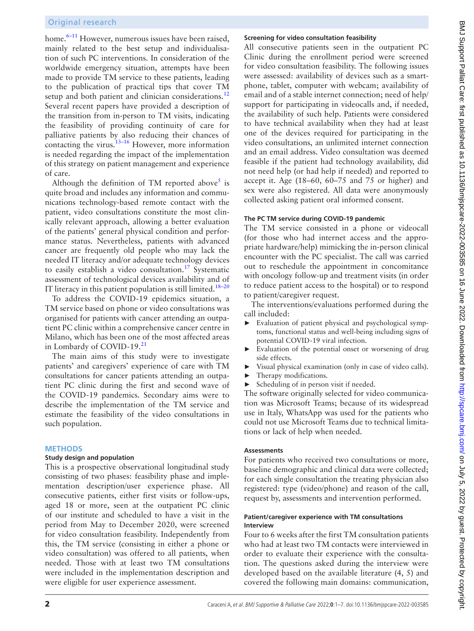## Original research

home.<sup>6-11</sup> However, numerous issues have been raised, mainly related to the best setup and individualisation of such PC interventions. In consideration of the worldwide emergency situation, attempts have been made to provide TM service to these patients, leading to the publication of practical tips that cover TM setup and both patient and clinician considerations.<sup>[12](#page-6-6)</sup> Several recent papers have provided a description of the transition from in-person to TM visits, indicating the feasibility of providing continuity of care for palliative patients by also reducing their chances of contacting the virus. $13-16$  However, more information is needed regarding the impact of the implementation of this strategy on patient management and experience of care.

Although the definition of TM reported above<sup>[5](#page-6-4)</sup> is quite broad and includes any information and communications technology-based remote contact with the patient, video consultations constitute the most clinically relevant approach, allowing a better evaluation of the patients' general physical condition and performance status. Nevertheless, patients with advanced cancer are frequently old people who may lack the needed IT literacy and/or adequate technology devices to easily establish a video consultation.<sup>17</sup> Systematic assessment of technological devices availability and of IT literacy in this patient population is still limited.<sup>18-20</sup>

To address the COVID-19 epidemics situation, a TM service based on phone or video consultations was organised for patients with cancer attending an outpatient PC clinic within a comprehensive cancer centre in Milano, which has been one of the most affected areas in Lombardy of COVID-19.<sup>21</sup>

The main aims of this study were to investigate patients' and caregivers' experience of care with TM consultations for cancer patients attending an outpatient PC clinic during the first and second wave of the COVID-19 pandemics. Secondary aims were to describe the implementation of the TM service and estimate the feasibility of the video consultations in such population.

#### **METHODS**

#### **Study design and population**

This is a prospective observational longitudinal study consisting of two phases: feasibility phase and implementation description/user experience phase. All consecutive patients, either first visits or follow-ups, aged 18 or more, seen at the outpatient PC clinic of our institute and scheduled to have a visit in the period from May to December 2020, were screened for video consultation feasibility. Independently from this, the TM service (consisting in either a phone or video consultation) was offered to all patients, when needed. Those with at least two TM consultations were included in the implementation description and were eligible for user experience assessment.

#### **Screening for video consultation feasibility**

All consecutive patients seen in the outpatient PC Clinic during the enrollment period were screened for video consultation feasibility. The following issues were assessed: availability of devices such as a smartphone, tablet, computer with webcam; availability of email and of a stable internet connection; need of help/ support for participating in videocalls and, if needed, the availability of such help. Patients were considered to have technical availability when they had at least one of the devices required for participating in the video consultations, an unlimited internet connection and an email address. Video consultation was deemed feasible if the patient had technology availability, did not need help (or had help if needed) and reported to accept it. Age (18–60, 60–75 and 75 or higher) and sex were also registered. All data were anonymously collected asking patient oral informed consent.

#### **The PC TM service during COVID-19 pandemic**

The TM service consisted in a phone or videocall (for those who had internet access and the appropriate hardware/help) mimicking the in-person clinical encounter with the PC specialist. The call was carried out to reschedule the appointment in concomitance with oncology follow-up and treatment visits (in order to reduce patient access to the hospital) or to respond to patient/caregiver request.

The interventions/evaluations performed during the call included:

- Evaluation of patient physical and psychological symptoms, functional status and well-being including signs of potential COVID-19 viral infection.
- Evaluation of the potential onset or worsening of drug side effects.
- ► Visual physical examination (only in case of video calls).
- ► Therapy modifications.
- Scheduling of in person visit if needed.

The software originally selected for video communication was Microsoft Teams; because of its widespread use in Italy, WhatsApp was used for the patients who could not use Microsoft Teams due to technical limitations or lack of help when needed.

#### **Assessments**

For patients who received two consultations or more, baseline demographic and clinical data were collected; for each single consultation the treating physician also registered: type (video/phone) and reason of the call, request by, assessments and intervention performed.

#### **Patient/caregiver experience with TM consultations Interview**

Four to 6 weeks after the first TM consultation patients who had at least two TM contacts were interviewed in order to evaluate their experience with the consultation. The questions asked during the interview were developed based on the available literature (4, 5) and covered the following main domains: communication,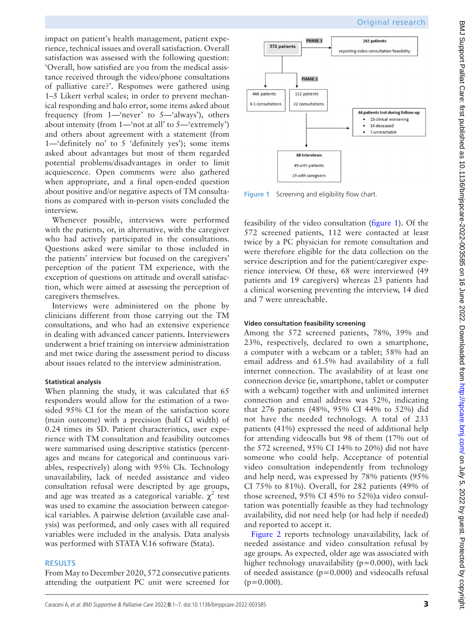impact on patient's health management, patient experience, technical issues and overall satisfaction. Overall satisfaction was assessed with the following question: 'Overall, how satisfied are you from the medical assistance received through the video/phone consultations of palliative care?'. Responses were gathered using 1–5 Likert verbal scales; in order to prevent mechanical responding and halo error, some items asked about frequency (from 1—'never' to 5—'always'), others about intensity (from 1—'not at all' to 5—'extremely') and others about agreement with a statement (from 1—'definitely no' to 5 'definitely yes'); some items asked about advantages but most of them regarded potential problems/disadvantages in order to limit acquiescence. Open comments were also gathered when appropriate, and a final open-ended question about positive and/or negative aspects of TM consultations as compared with in-person visits concluded the interview.

Whenever possible, interviews were performed with the patients, or, in alternative, with the caregiver who had actively participated in the consultations. Questions asked were similar to those included in the patients' interview but focused on the caregivers' perception of the patient TM experience, with the exception of questions on attitude and overall satisfaction, which were aimed at assessing the perception of caregivers themselves.

Interviews were administered on the phone by clinicians different from those carrying out the TM consultations, and who had an extensive experience in dealing with advanced cancer patients. Interviewers underwent a brief training on interview administration and met twice during the assessment period to discuss about issues related to the interview administration.

# **Statistical analysis**

When planning the study, it was calculated that 65 responders would allow for the estimation of a twosided 95% CI for the mean of the satisfaction score (main outcome) with a precision (half CI width) of 0.24 times its SD. Patient characteristics, user experience with TM consultation and feasibility outcomes were summarised using descriptive statistics (percentages and means for categorical and continuous variables, respectively) along with 95% CIs. Technology unavailability, lack of needed assistance and video consultation refusal were descripted by age groups, and age was treated as a categorical variable.  $\chi^2$  test was used to examine the association between categorical variables. A pairwise deletion (available case analysis) was performed, and only cases with all required variables were included in the analysis. Data analysis was performed with STATA V.16 software (Stata).

# **RESULTS**

From May to December 2020, 572 consecutive patients attending the outpatient PC unit were screened for



<span id="page-2-0"></span>**Figure 1** Screening and eligibility flow chart.

feasibility of the video consultation ([figure](#page-2-0) 1). Of the 572 screened patients, 112 were contacted at least twice by a PC physician for remote consultation and were therefore eligible for the data collection on the service description and for the patient/caregiver experience interview. Of these, 68 were interviewed (49 patients and 19 caregivers) whereas 23 patients had a clinical worsening preventing the interview, 14 died and 7 were unreachable.

# **Video consultation feasibility screening**

Among the 572 screened patients, 78%, 39% and 23%, respectively, declared to own a smartphone, a computer with a webcam or a tablet; 58% had an email address and 61.5% had availability of a full internet connection. The availability of at least one connection device (ie, smartphone, tablet or computer with a webcam) together with and unlimited internet connection and email address was 52%, indicating that 276 patients (48%, 95% CI 44% to 52%) did not have the needed technology. A total of 233 patients (41%) expressed the need of additional help for attending videocalls but 98 of them (17% out of the 572 screened, 95% CI 14% to 20%) did not have someone who could help. Acceptance of potential video consultation independently from technology and help need, was expressed by 78% patients (95% CI 75% to 81%). Overall, for 282 patients (49% of those screened, 95% CI 45% to 52%)a video consultation was potentially feasible as they had technology availability, did not need help (or had help if needed) and reported to accept it.

[Figure](#page-3-0) 2 reports technology unavailability, lack of needed assistance and video consultation refusal by age groups. As expected, older age was associated with higher technology unavailability ( $p=0.000$ ), with lack of needed assistance  $(p=0.000)$  and videocalls refusal  $(p=0.000)$ .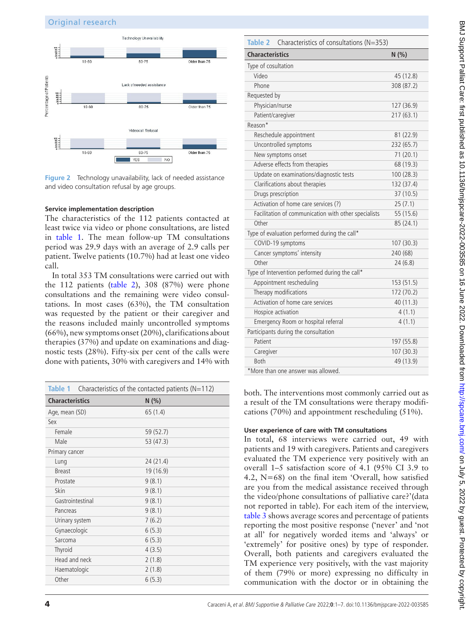

<span id="page-3-0"></span>**Figure 2** Technology unavailability, lack of needed assistance and video consultation refusal by age groups.

#### **Service implementation description**

The characteristics of the 112 patients contacted at least twice via video or phone consultations, are listed in [table](#page-3-1) 1. The mean follow-up TM consultations period was 29.9 days with an average of 2.9 calls per patient. Twelve patients (10.7%) had at least one video call.

In total 353 TM consultations were carried out with the 112 patients [\(table](#page-3-2) 2), 308 (87%) were phone consultations and the remaining were video consultations. In most cases (63%), the TM consultation was requested by the patient or their caregiver and the reasons included mainly uncontrolled symptoms (66%), new symptoms onset (20%), clarifications about therapies (37%) and update on examinations and diagnostic tests (28%). Fifty-six per cent of the calls were done with patients, 30% with caregivers and 14% with

<span id="page-3-1"></span>

| Table 1 Characteristics of the contacted patients ( $N=112$ ) |           |  |
|---------------------------------------------------------------|-----------|--|
| <b>Characteristics</b>                                        | N(% )     |  |
| Age, mean (SD)                                                | 65 (1.4)  |  |
| Sex                                                           |           |  |
| Female                                                        | 59 (52.7) |  |
| Male                                                          | 53 (47.3) |  |
| Primary cancer                                                |           |  |
| Lung                                                          | 24 (21.4) |  |
| <b>Breast</b>                                                 | 19 (16.9) |  |
| Prostate                                                      | 9(8.1)    |  |
| Skin                                                          | 9(8.1)    |  |
| Gastrointestinal                                              | 9(8.1)    |  |
| Pancreas                                                      | 9(8.1)    |  |
| Urinary system                                                | 7(6.2)    |  |
| Gynaecologic                                                  | 6(5.3)    |  |
| Sarcoma                                                       | 6(5.3)    |  |
| Thyroid                                                       | 4(3.5)    |  |
| Head and neck                                                 | 2(1.8)    |  |
| Haematologic                                                  | 2(1.8)    |  |
| Other                                                         | 6(5.3)    |  |
|                                                               |           |  |

<span id="page-3-2"></span>

| Characteristics of consultations (N=353)<br>Table 2  |            |  |  |
|------------------------------------------------------|------------|--|--|
| <b>Characteristics</b>                               | N(% )      |  |  |
| Type of cosultation                                  |            |  |  |
| Video                                                | 45 (12.8)  |  |  |
| Phone                                                | 308 (87.2) |  |  |
| Requested by                                         |            |  |  |
| Physician/nurse                                      | 127 (36.9) |  |  |
| Patient/caregiver                                    | 217 (63.1) |  |  |
| Reason*                                              |            |  |  |
| Reschedule appointment                               | 81 (22.9)  |  |  |
| Uncontrolled symptoms                                | 232 (65.7) |  |  |
| New symptoms onset                                   | 71(20.1)   |  |  |
| Adverse effects from therapies                       | 68 (19.3)  |  |  |
| Update on examinations/diagnostic tests              | 100 (28.3) |  |  |
| Clarifications about therapies                       | 132 (37.4) |  |  |
| Drugs prescription                                   | 37 (10.5)  |  |  |
| Activation of home care services (?)                 | 25(7.1)    |  |  |
| Facilitation of communication with other specialists | 55 (15.6)  |  |  |
| Other                                                | 85 (24.1)  |  |  |
| Type of evaluation performed during the call*        |            |  |  |
| COVID-19 symptoms                                    | 107 (30.3) |  |  |
| Cancer symptoms' intensity                           | 240 (68)   |  |  |
| Other                                                | 24(6.8)    |  |  |
| Type of Intervention performed during the call*      |            |  |  |
| Appointment rescheduling                             | 153 (51.5) |  |  |
| Therapy modifications                                | 172 (70.2) |  |  |
| Activation of home care services                     | 40 (11.3)  |  |  |
| Hospice activation                                   | 4(1.1)     |  |  |
| Emergency Room or hospital referral                  | 4(1.1)     |  |  |
| Participants during the consultation                 |            |  |  |
| Patient                                              | 197 (55.8) |  |  |
| Caregiver                                            | 107 (30.3) |  |  |
| <b>Both</b>                                          | 49 (13.9)  |  |  |
| *More than one answer was allowed.                   |            |  |  |

both. The interventions most commonly carried out as a result of the TM consultations were therapy modifications (70%) and appointment rescheduling (51%).

#### **User experience of care with TM consultations**

In total, 68 interviews were carried out, 49 with patients and 19 with caregivers. Patients and caregivers evaluated the TM experience very positively with an overall 1–5 satisfaction score of 4.1 (95% CI 3.9 to 4.2, N=68) on the final item 'Overall, how satisfied are you from the medical assistance received through the video/phone consultations of palliative care?'(data not reported in table). For each item of the interview, [table](#page-4-0) 3 shows average scores and percentage of patients reporting the most positive response ('never' and 'not at all' for negatively worded items and 'always' or 'extremely' for positive ones) by type of responder. Overall, both patients and caregivers evaluated the TM experience very positively, with the vast majority of them (79% or more) expressing no difficulty in communication with the doctor or in obtaining the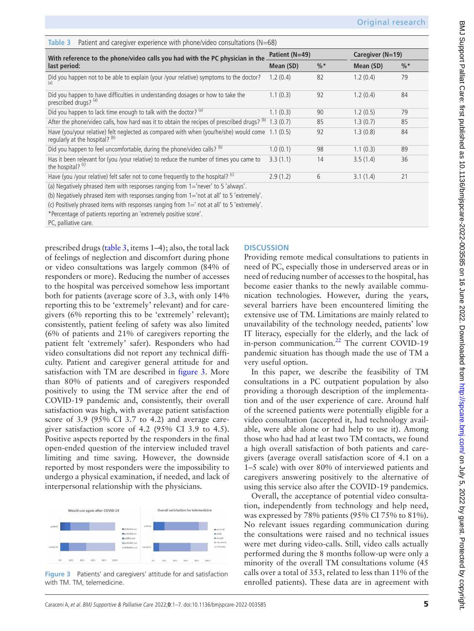<span id="page-4-0"></span>

| Patient and caregiver experience with phone/video consultations $(N=68)$<br>Table 3                                     |                |                 |                  |                 |  |  |
|-------------------------------------------------------------------------------------------------------------------------|----------------|-----------------|------------------|-----------------|--|--|
| With reference to the phone/video calls you had with the PC physician in the                                            | Patient (N=49) |                 | Caregiver (N=19) |                 |  |  |
| last period:                                                                                                            | Mean (SD)      | $\frac{9}{6}$ * | Mean (SD)        | $\frac{0}{6}$ * |  |  |
| Did you happen not to be able to explain (your /your relative) symptoms to the doctor?                                  | 1.2(0.4)       | 82              | 1.2(0.4)         | 79              |  |  |
| Did you happen to have difficulties in understanding dosages or how to take the<br>prescribed drugs? (a)                | 1.1(0.3)       | 92              | 1.2(0.4)         | 84              |  |  |
| Did you happen to lack time enough to talk with the doctor? (a)                                                         | 1.1(0.3)       | 90              | 1.2(0.5)         | 79              |  |  |
| After the phone/video calls, how hard was it to obtain the recipes of prescribed drugs? (b)                             | 1.3(0.7)       | 85              | 1.3(0.7)         | 85              |  |  |
| Have (you/your relative) felt neglected as compared with when (you/he/she) would come<br>regularly at the hospital? (b) | 1.1(0.5)       | 92              | 1.3(0.8)         | 84              |  |  |
| Did you happen to feel uncomfortable, during the phone/video calls? (b)                                                 | 1.0(0.1)       | 98              | 1.1(0.3)         | 89              |  |  |
| Has it been relevant for (you /your relative) to reduce the number of times you came to<br>the hospital? (c)            | 3.3(1.1)       | 14              | 3.5(1.4)         | 36              |  |  |
| Have (you /your relative) felt safer not to come frequently to the hospital? (c)                                        | 2.9(1.2)       | 6               | 3.1(1.4)         | 21              |  |  |
| (a) Negatively phrased item with responses ranging from 1='never' to 5 'always'.                                        |                |                 |                  |                 |  |  |

(b) Negatively phrased item with responses ranging from 1='not at all' to 5 'extremely'.

(c) Positively phrased items with responses ranging from 1=' not at all' to 5 'extremely'.

\*Percentage of patients reporting an 'extremely positive score'.

PC, palliative care.

prescribed drugs [\(table](#page-4-0) 3, items 1–4); also, the total lack of feelings of neglection and discomfort during phone or video consultations was largely common (84% of responders or more). Reducing the number of accesses to the hospital was perceived somehow less important both for patients (average score of 3.3, with only 14% reporting this to be 'extremely' relevant) and for caregivers (6% reporting this to be 'extremely' relevant); consistently, patient feeling of safety was also limited (6% of patients and 21% of caregivers reporting the patient felt 'extremely' safer). Responders who had video consultations did not report any technical difficulty. Patient and caregiver general attitude for and satisfaction with TM are described in [figure](#page-4-1) 3. More than 80% of patients and of caregivers responded positively to using the TM service after the end of COVID-19 pandemic and, consistently, their overall satisfaction was high, with average patient satisfaction score of 3.9 (95% CI 3.7 to 4.2) and average caregiver satisfaction score of 4.2 (95% CI 3.9 to 4.5). Positive aspects reported by the responders in the final open-ended question of the interview included travel limiting and time saving. However, the downside reported by most responders were the impossibility to undergo a physical examination, if needed, and lack of interpersonal relationship with the physicians.



<span id="page-4-1"></span>**Figure 3** Patients' and caregivers' attitude for and satisfaction with TM. TM, telemedicine.

#### **DISCUSSION**

Providing remote medical consultations to patients in need of PC, especially those in underserved areas or in need of reducing number of accesses to the hospital, has become easier thanks to the newly available communication technologies. However, during the years, several barriers have been encountered limiting the extensive use of TM. Limitations are mainly related to unavailability of the technology needed, patients' low IT literacy, especially for the elderly, and the lack of in-person communication.<sup>22</sup> The current COVID-19 pandemic situation has though made the use of TM a very useful option.

In this paper, we describe the feasibility of TM consultations in a PC outpatient population by also providing a thorough description of the implementation and of the user experience of care. Around half of the screened patients were potentially eligible for a video consultation (accepted it, had technology available, were able alone or had help to use it). Among those who had had at least two TM contacts, we found a high overall satisfaction of both patients and caregivers (average overall satisfaction score of 4.1 on a 1–5 scale) with over 80% of interviewed patients and caregivers answering positively to the alternative of using this service also after the COVID-19 pandemics.

Overall, the acceptance of potential video consultation, independently from technology and help need, was expressed by 78% patients (95% CI 75% to 81%). No relevant issues regarding communication during the consultations were raised and no technical issues were met during video-calls. Still, video calls actually performed during the 8 months follow-up were only a minority of the overall TM consultations volume (45 calls over a total of 353, related to less than 11% of the enrolled patients). These data are in agreement with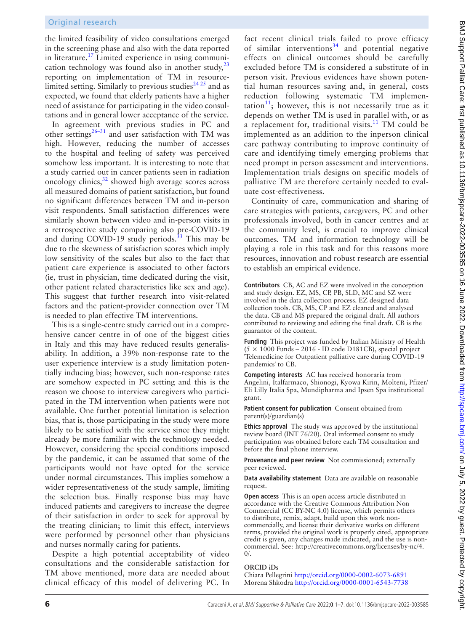the limited feasibility of video consultations emerged in the screening phase and also with the data reported in literature[.17](#page-6-8) Limited experience in using communication technology was found also in another study, $^{23}$ reporting on implementation of TM in resourcelimited setting. Similarly to previous studies<sup> $2425$ </sup> and as expected, we found that elderly patients have a higher need of assistance for participating in the video consultations and in general lower acceptance of the service.

In agreement with previous studies in PC and other settings $26-31$  and user satisfaction with TM was high. However, reducing the number of accesses to the hospital and feeling of safety was perceived somehow less important. It is interesting to note that a study carried out in cancer patients seen in radiation oncology clinics, $32$  showed high average scores across all measured domains of patient satisfaction, but found no significant differences between TM and in-person visit respondents. Small satisfaction differences were similarly shown between video and in-person visits in a retrospective study comparing also pre-COVID-19 and during COVID-19 study periods.<sup>33</sup> This may be due to the skewness of satisfaction scores which imply low sensitivity of the scales but also to the fact that patient care experience is associated to other factors (ie, trust in physician, time dedicated during the visit, other patient related characteristics like sex and age). This suggest that further research into visit-related factors and the patient-provider connection over TM is needed to plan effective TM interventions.

This is a single-centre study carried out in a comprehensive cancer centre in of one of the biggest cities in Italy and this may have reduced results generalisability. In addition, a 39% non-response rate to the user experience interview is a study limitation potentially inducing bias; however, such non-response rates are somehow expected in PC setting and this is the reason we choose to interview caregivers who participated in the TM intervention when patients were not available. One further potential limitation is selection bias, that is, those participating in the study were more likely to be satisfied with the service since they might already be more familiar with the technology needed. However, considering the special conditions imposed by the pandemic, it can be assumed that some of the participants would not have opted for the service under normal circumstances. This implies somehow a wider representativeness of the study sample, limiting the selection bias. Finally response bias may have induced patients and caregivers to increase the degree of their satisfaction in order to seek for approval by the treating clinician; to limit this effect, interviews were performed by personnel other than physicians and nurses normally caring for patients.

Despite a high potential acceptability of video consultations and the considerable satisfaction for TM above mentioned, more data are needed about clinical efficacy of this model of delivering PC. In

fact recent clinical trials failed to prove efficacy of similar interventions<sup>34</sup> and potential negative effects on clinical outcomes should be carefully excluded before TM is considered a substitute of in person visit. Previous evidences have shown potential human resources saving and, in general, costs reduction following systematic TM implementation<sup>11</sup>; however, this is not necessarily true as it depends on wether TM is used in parallel with, or as a replacement for, traditional visits. $11$  TM could be implemented as an addition to the inperson clinical care pathway contributing to improve continuity of care and identifying timely emerging problems that need prompt in person assessment and interventions. Implementation trials designs on specific models of palliative TM are therefore certainly needed to evaluate cost-effectiveness.

Continuity of care, communication and sharing of care strategies with patients, caregivers, PC and other professionals involved, both in cancer centres and at the community level, is crucial to improve clinical outcomes. TM and information technology will be playing a role in this task and for this reasons more resources, innovation and robust research are essential to establish an empirical evidence.

**Contributors** CB, AC and EZ were involved in the conception and study design. EZ, MS, CP, PB, SLD, MC and SZ were involved in the data collection process. EZ designed data collection tools. CB, MS, CP and EZ cleaned and analysed the data. CB and MS prepared the original draft. All authors contributed to reviewing and editing the final draft. CB is the guarantor of the content.

**Funding** This project was funded by Italian Ministry of Health  $(5 \times 1000$  Funds – 2016 - ID code D181CB), special project 'Telemedicine for Outpatient palliative care during COVID-19 pandemics' to CB.

**Competing interests** AC has received honoraria from Angelini, Italfarmaco, Shionogi, Kyowa Kirin, Molteni, Pfizer/ Eli Lilly Italia Spa, Mundipharma and Ipsen Spa institutional grant.

**Patient consent for publication** Consent obtained from parent(s)/guardian(s)

**Ethics approval** The study was approved by the institutional review board (INT 76/20). Oral informed consent to study participation was obtained before each TM consultation and before the final phone interview.

**Provenance and peer review** Not commissioned; externally peer reviewed.

**Data availability statement** Data are available on reasonable request.

**Open access** This is an open access article distributed in accordance with the Creative Commons Attribution Non Commercial (CC BY-NC 4.0) license, which permits others to distribute, remix, adapt, build upon this work noncommercially, and license their derivative works on different terms, provided the original work is properly cited, appropriate credit is given, any changes made indicated, and the use is noncommercial. See: [http://creativecommons.org/licenses/by-nc/4.](http://creativecommons.org/licenses/by-nc/4.0/)  $0/$ .

#### **ORCID iDs**

Chiara Pellegrini <http://orcid.org/0000-0002-6073-6891> Morena Shkodra <http://orcid.org/0000-0001-6543-7738>